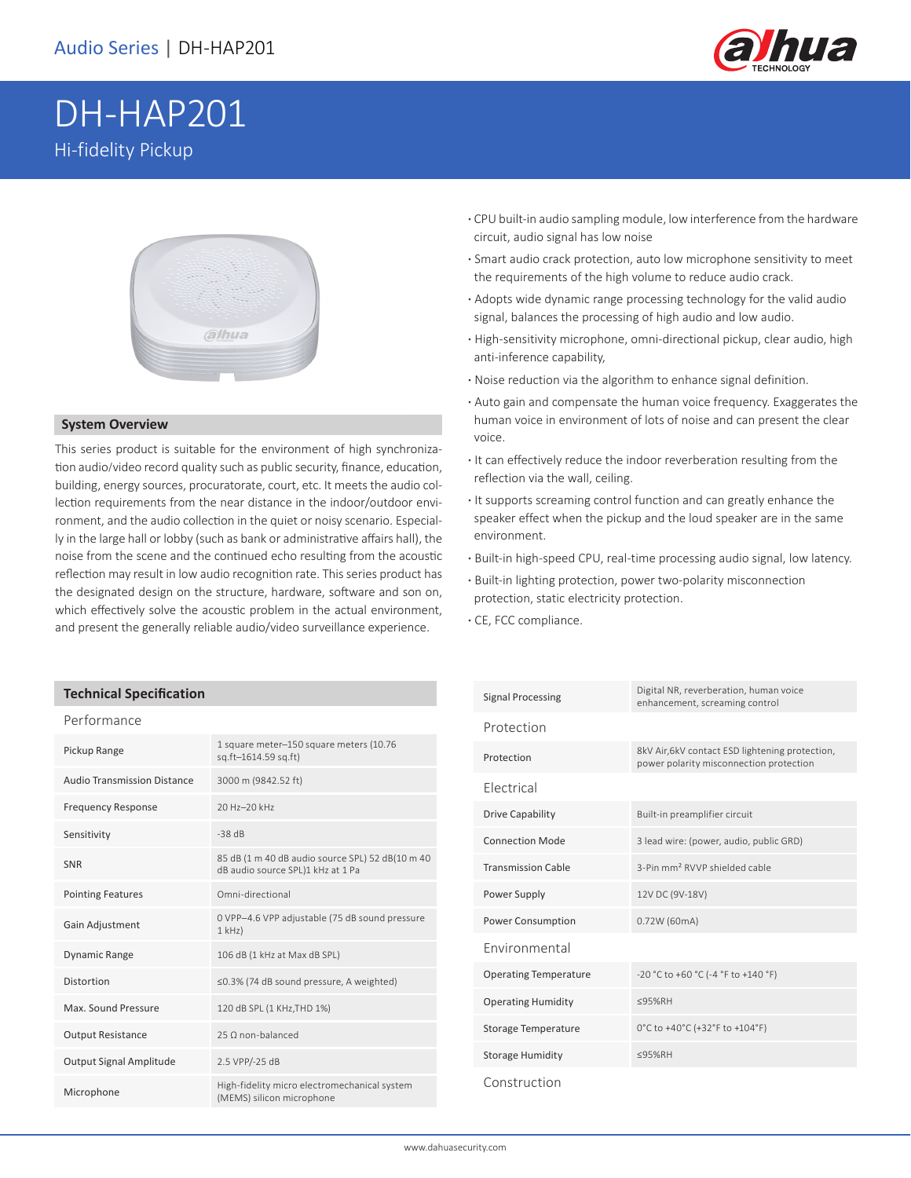

# DH-HAP201 Hi-fidelity Pickup



#### **System Overview**

This series product is suitable for the environment of high synchronization audio/video record quality such as public security, finance, education, building, energy sources, procuratorate, court, etc. It meets the audio collection requirements from the near distance in the indoor/outdoor environment, and the audio collection in the quiet or noisy scenario. Especially in the large hall or lobby (such as bank or administrative affairs hall), the noise from the scene and the continued echo resulting from the acoustic reflection may result in low audio recognition rate. This series product has the designated design on the structure, hardware, software and son on, which effectively solve the acoustic problem in the actual environment, and present the generally reliable audio/video surveillance experience.

#### **Technical Specification**

#### Performance

| Pickup Range                       | 1 square meter-150 square meters (10.76<br>sq.ft-1614.59 sq.ft)                       |
|------------------------------------|---------------------------------------------------------------------------------------|
| <b>Audio Transmission Distance</b> | 3000 m (9842.52 ft)                                                                   |
| <b>Frequency Response</b>          | 20 Hz-20 kHz                                                                          |
| Sensitivity                        | $-38$ dB                                                                              |
| <b>SNR</b>                         | 85 dB (1 m 40 dB audio source SPL) 52 dB(10 m 40<br>dB audio source SPL)1 kHz at 1 Pa |
| <b>Pointing Features</b>           | Omni-directional                                                                      |
| Gain Adjustment                    | O VPP-4.6 VPP adjustable (75 dB sound pressure<br>$1$ kHz $)$                         |
| <b>Dynamic Range</b>               | 106 dB (1 kHz at Max dB SPL)                                                          |
| Distortion                         | ≤0.3% (74 dB sound pressure, A weighted)                                              |
| Max. Sound Pressure                | 120 dB SPL (1 KHz, THD 1%)                                                            |
| <b>Output Resistance</b>           | 25 O non-balanced                                                                     |
| Output Signal Amplitude            | 2.5 VPP/-25 dB                                                                        |
| Microphone                         | High-fidelity micro electromechanical system<br>(MEMS) silicon microphone             |

- **·** CPU built-in audio sampling module, low interference from the hardware circuit, audio signal has low noise
- **·** Smart audio crack protection, auto low microphone sensitivity to meet the requirements of the high volume to reduce audio crack.
- **·** Adopts wide dynamic range processing technology for the valid audio signal, balances the processing of high audio and low audio.
- **·** High-sensitivity microphone, omni-directional pickup, clear audio, high anti-inference capability,
- **·** Noise reduction via the algorithm to enhance signal definition.
- **·** Auto gain and compensate the human voice frequency. Exaggerates the human voice in environment of lots of noise and can present the clear voice.
- **·** It can effectively reduce the indoor reverberation resulting from the reflection via the wall, ceiling.
- **·** It supports screaming control function and can greatly enhance the speaker effect when the pickup and the loud speaker are in the same environment.
- **·** Built-in high-speed CPU, real-time processing audio signal, low latency.
- **·** Built-in lighting protection, power two-polarity misconnection protection, static electricity protection.
- **·** CE, FCC compliance.

| <b>Signal Processing</b>     | Digital NR, reverberation, human voice<br>enhancement, screaming control                   |
|------------------------------|--------------------------------------------------------------------------------------------|
| Protection                   |                                                                                            |
| Protection                   | 8kV Air, 6kV contact ESD lightening protection,<br>power polarity misconnection protection |
| Flectrical                   |                                                                                            |
| Drive Capability             | Built-in preamplifier circuit                                                              |
| <b>Connection Mode</b>       | 3 lead wire: (power, audio, public GRD)                                                    |
| <b>Transmission Cable</b>    | 3-Pin mm <sup>2</sup> RVVP shielded cable                                                  |
| Power Supply                 | 12V DC (9V-18V)                                                                            |
| <b>Power Consumption</b>     | 0.72W (60mA)                                                                               |
| <b>Environmental</b>         |                                                                                            |
| <b>Operating Temperature</b> | -20 °C to +60 °C (-4 °F to +140 °F)                                                        |
| <b>Operating Humidity</b>    | <95%RH                                                                                     |
| Storage Temperature          | 0°C to +40°C (+32°F to +104°F)                                                             |
| <b>Storage Humidity</b>      | <95%RH                                                                                     |
| Construction                 |                                                                                            |